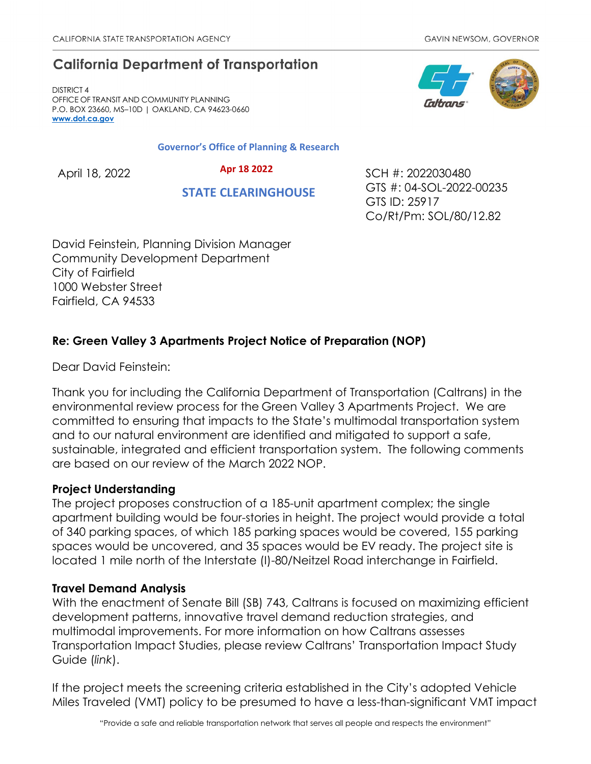# **California Department of Transportation**

DISTRICT 4 OFFICE OF TRANSIT AND COMMUNITY PLANNING P.O. BOX 23660, MS–10D | OAKLAND, CA 94623-0660 **[www.dot.ca.gov](http://www.dot.ca.gov/)**

**Governor's Office of Planning & Research**

 **Apr 18 2022**

 **STATE CLEARINGHOUSE**



April 18, 2022 **April 18 2022** SCH #: 2022030480 GTS #: 04-SOL-2022-00235 GTS ID: 25917 Co/Rt/Pm: SOL/80/12.82

David Feinstein, Planning Division Manager Community Development Department City of Fairfield 1000 Webster Street Fairfield, CA 94533

# **Re: Green Valley 3 Apartments Project Notice of Preparation (NOP)**

Dear David Feinstein:

Thank you for including the California Department of Transportation (Caltrans) in the environmental review process for the Green Valley 3 Apartments Project. We are committed to ensuring that impacts to the State's multimodal transportation system and to our natural environment are identified and mitigated to support a safe, sustainable, integrated and efficient transportation system. The following comments are based on our review of the March 2022 NOP.

## **Project Understanding**

The project proposes construction of a 185-unit apartment complex; the single apartment building would be four-stories in height. The project would provide a total of 340 parking spaces, of which 185 parking spaces would be covered, 155 parking spaces would be uncovered, and 35 spaces would be EV ready. The project site is located 1 mile north of the Interstate (I)-80/Neitzel Road interchange in Fairfield.

## **Travel Demand Analysis**

With the enactment of Senate Bill (SB) 743, Caltrans is focused on maximizing efficient development patterns, innovative travel demand reduction strategies, and multimodal improvements. For more information on how Caltrans assesses Transportation Impact Studies, please review Caltrans' [Transportation Impact Study](https://dot.ca.gov/-/media/dot-media/programs/transportation-planning/documents/sb-743/2020-05-20-approved-vmt-focused-tisg-a11y.pdf)  [Guide \(](https://dot.ca.gov/-/media/dot-media/programs/transportation-planning/documents/sb-743/2020-05-20-approved-vmt-focused-tisg-a11y.pdf)*[link](https://dot.ca.gov/-/media/dot-media/programs/transportation-planning/documents/sb-743/2020-05-20-approved-vmt-focused-tisg-a11y.pdf)*[\).](https://dot.ca.gov/-/media/dot-media/programs/transportation-planning/documents/sb-743/2020-05-20-approved-vmt-focused-tisg-a11y.pdf)

If the project meets the screening criteria established in the City's adopted Vehicle Miles Traveled (VMT) policy to be presumed to have a less-than-significant VMT impact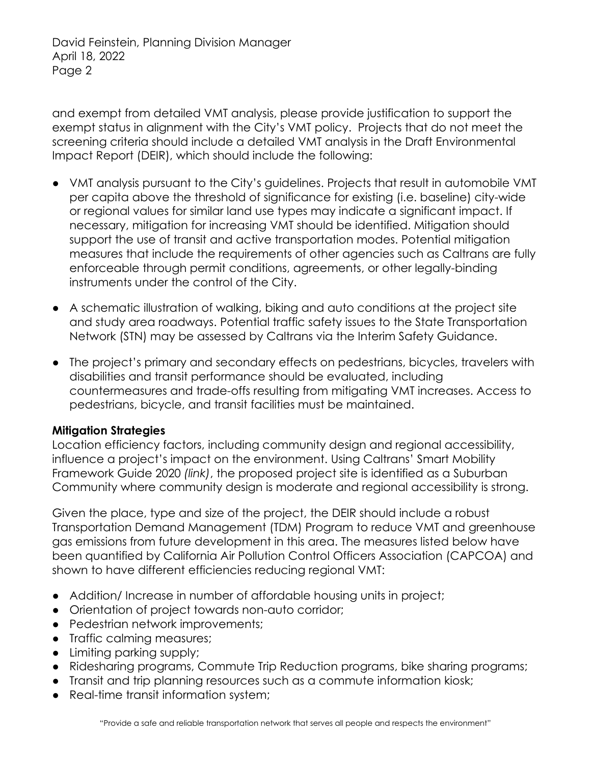David Feinstein, Planning Division Manager April 18, 2022 Page 2

and exempt from detailed VMT analysis, please provide justification to support the exempt status in alignment with the City's VMT policy. Projects that do not meet the screening criteria should include a detailed VMT analysis in the Draft Environmental Impact Report (DEIR), which should include the following:

- VMT analysis pursuant to the City's guidelines. Projects that result in automobile VMT per capita above the threshold of significance for existing (i.e. baseline) city-wide or regional values for similar land use types may indicate a significant impact. If necessary, mitigation for increasing VMT should be identified. Mitigation should support the use of transit and active transportation modes. Potential mitigation measures that include the requirements of other agencies such as Caltrans are fully enforceable through permit conditions, agreements, or other legally-binding instruments under the control of the City.
- A schematic illustration of walking, biking and auto conditions at the project site and study area roadways. Potential traffic safety issues to the State Transportation Network (STN) may be assessed by Caltrans via the Interim Safety Guidance.
- The project's primary and secondary effects on pedestrians, bicycles, travelers with disabilities and transit performance should be evaluated, including countermeasures and trade-offs resulting from mitigating VMT increases. Access to pedestrians, bicycle, and transit facilities must be maintained.

### **Mitigation Strategies**

Location efficiency factors, including community design and regional accessibility, influence a project's impact on the environment. Using Caltrans' Smart Mobility Framework Guide 2020 *[\(link\)](https://transportationplanning.onramp.dot.ca.gov/downloads/transportationplanning/files/activetranstreets/final-smf-guide-110220-not-remediated-11-4.pdf)*, the proposed project site is identified as a Suburban Community where community design is moderate and regional accessibility is strong.

Given the place, type and size of the project, the DEIR should include a robust Transportation Demand Management (TDM) Program to reduce VMT and greenhouse gas emissions from future development in this area. The measures listed below have been quantified by California Air Pollution Control Officers Association (CAPCOA) and shown to have different efficiencies reducing regional VMT:

- Addition/Increase in number of affordable housing units in project;
- Orientation of project towards non-auto corridor;
- Pedestrian network improvements;
- Traffic calming measures;
- Limiting parking supply;
- Ridesharing programs, Commute Trip Reduction programs, bike sharing programs;
- Transit and trip planning resources such as a commute information kiosk;
- Real-time transit information system;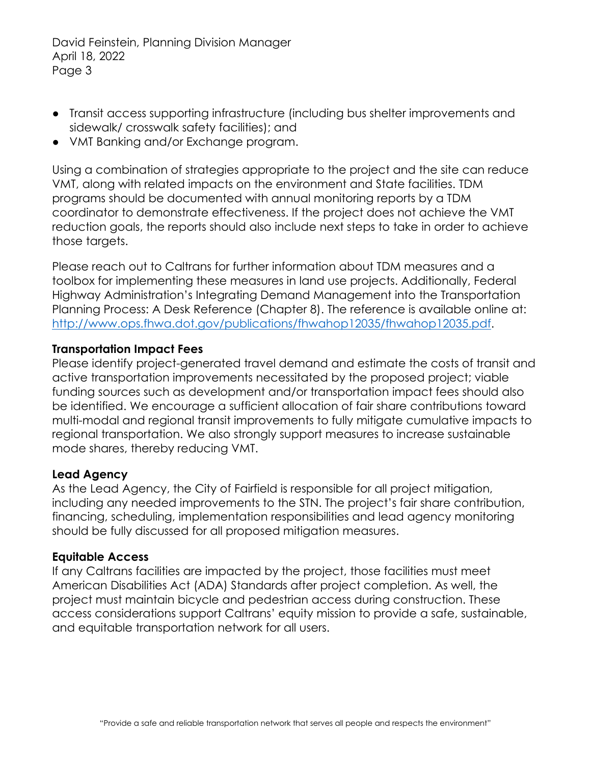David Feinstein, Planning Division Manager April 18, 2022 Page 3

- Transit access supporting infrastructure (including bus shelter improvements and sidewalk/ crosswalk safety facilities); and
- VMT Banking and/or Exchange program.

Using a combination of strategies appropriate to the project and the site can reduce VMT, along with related impacts on the environment and State facilities. TDM programs should be documented with annual monitoring reports by a TDM coordinator to demonstrate effectiveness. If the project does not achieve the VMT reduction goals, the reports should also include next steps to take in order to achieve those targets.

Please reach out to Caltrans for further information about TDM measures and a toolbox for implementing these measures in land use projects. Additionally, Federal Highway Administration's Integrating Demand Management into the Transportation Planning Process: A Desk Reference (Chapter 8). The reference is available online at: [http://www.ops.fhwa.dot.gov/publications/fhwahop12035/fhwahop12035.pdf.](http://www.ops.fhwa.dot.gov/publications/fhwahop12035/fhwahop12035.pdf)

### **Transportation Impact Fees**

Please identify project-generated travel demand and estimate the costs of transit and active transportation improvements necessitated by the proposed project; viable funding sources such as development and/or transportation impact fees should also be identified. We encourage a sufficient allocation of fair share contributions toward multi-modal and regional transit improvements to fully mitigate cumulative impacts to regional transportation. We also strongly support measures to increase sustainable mode shares, thereby reducing VMT.

#### **Lead Agency**

As the Lead Agency, the City of Fairfield is responsible for all project mitigation, including any needed improvements to the STN. The project's fair share contribution, financing, scheduling, implementation responsibilities and lead agency monitoring should be fully discussed for all proposed mitigation measures.

#### **Equitable Access**

If any Caltrans facilities are impacted by the project, those facilities must meet American Disabilities Act (ADA) Standards after project completion. As well, the project must maintain bicycle and pedestrian access during construction. These access considerations support Caltrans' equity mission to provide a safe, sustainable, and equitable transportation network for all users.